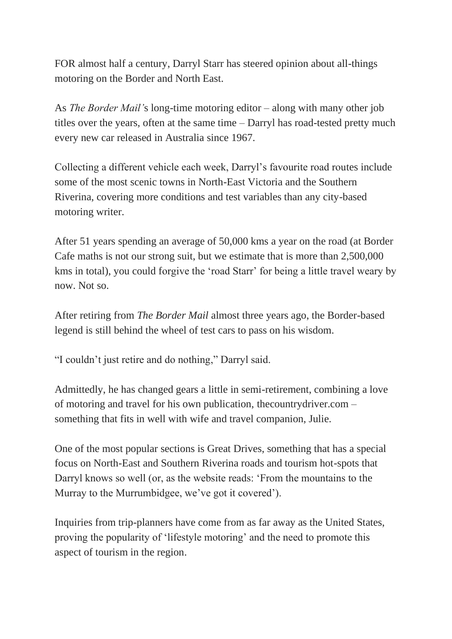FOR almost half a century, Darryl Starr has steered opinion about all-things motoring on the Border and North East.

As *The Border Mail'*s long-time motoring editor – along with many other job titles over the years, often at the same time – Darryl has road-tested pretty much every new car released in Australia since 1967.

Collecting a different vehicle each week, Darryl's favourite road routes include some of the most scenic towns in North-East Victoria and the Southern Riverina, covering more conditions and test variables than any city-based motoring writer.

After 51 years spending an average of 50,000 kms a year on the road (at Border Cafe maths is not our strong suit, but we estimate that is more than 2,500,000 kms in total), you could forgive the 'road Starr' for being a little travel weary by now. Not so.

After retiring from *The Border Mail* almost three years ago, the Border-based legend is still behind the wheel of test cars to pass on his wisdom.

"I couldn't just retire and do nothing," Darryl said.

Admittedly, he has changed gears a little in semi-retirement, combining a love of motoring and travel for his own publication, thecountrydriver.com – something that fits in well with wife and travel companion, Julie.

One of the most popular sections is Great Drives, something that has a special focus on North-East and Southern Riverina roads and tourism hot-spots that Darryl knows so well (or, as the website reads: 'From the mountains to the Murray to the Murrumbidgee, we've got it covered').

Inquiries from trip-planners have come from as far away as the United States, proving the popularity of 'lifestyle motoring' and the need to promote this aspect of tourism in the region.